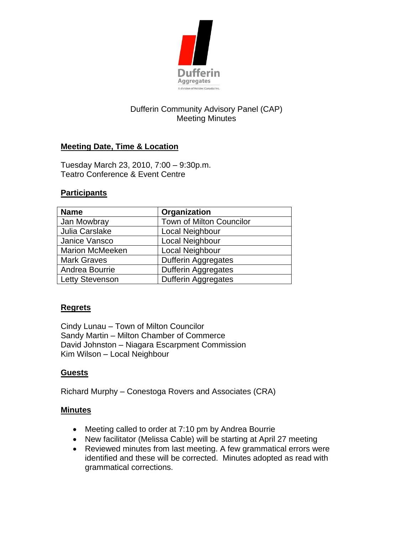

# Dufferin Community Advisory Panel (CAP) Meeting Minutes

## **Meeting Date, Time & Location**

Tuesday March 23, 2010, 7:00 – 9:30p.m. Teatro Conference & Event Centre

### **Participants**

| <b>Name</b>            | Organization                    |
|------------------------|---------------------------------|
| Jan Mowbray            | <b>Town of Milton Councilor</b> |
| Julia Carslake         | Local Neighbour                 |
| Janice Vansco          | Local Neighbour                 |
| <b>Marion McMeeken</b> | Local Neighbour                 |
| <b>Mark Graves</b>     | <b>Dufferin Aggregates</b>      |
| Andrea Bourrie         | <b>Dufferin Aggregates</b>      |
| <b>Letty Stevenson</b> | <b>Dufferin Aggregates</b>      |

#### **Regrets**

Cindy Lunau – Town of Milton Councilor Sandy Martin – Milton Chamber of Commerce David Johnston – Niagara Escarpment Commission Kim Wilson – Local Neighbour

#### **Guests**

Richard Murphy – Conestoga Rovers and Associates (CRA)

#### **Minutes**

- Meeting called to order at 7:10 pm by Andrea Bourrie
- New facilitator (Melissa Cable) will be starting at April 27 meeting
- Reviewed minutes from last meeting. A few grammatical errors were identified and these will be corrected. Minutes adopted as read with grammatical corrections.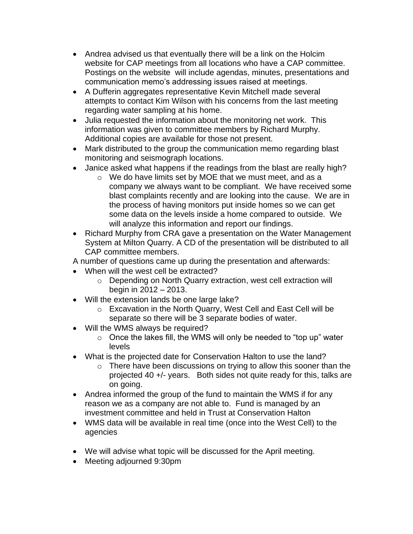- Andrea advised us that eventually there will be a link on the Holcim website for CAP meetings from all locations who have a CAP committee. Postings on the website will include agendas, minutes, presentations and communication memo's addressing issues raised at meetings.
- A Dufferin aggregates representative Kevin Mitchell made several attempts to contact Kim Wilson with his concerns from the last meeting regarding water sampling at his home.
- Julia requested the information about the monitoring net work. This information was given to committee members by Richard Murphy. Additional copies are available for those not present.
- Mark distributed to the group the communication memo regarding blast monitoring and seismograph locations.
- Janice asked what happens if the readings from the blast are really high?
	- o We do have limits set by MOE that we must meet, and as a company we always want to be compliant. We have received some blast complaints recently and are looking into the cause. We are in the process of having monitors put inside homes so we can get some data on the levels inside a home compared to outside. We will analyze this information and report our findings.
- Richard Murphy from CRA gave a presentation on the Water Management System at Milton Quarry. A CD of the presentation will be distributed to all CAP committee members.

A number of questions came up during the presentation and afterwards:

- When will the west cell be extracted?
	- o Depending on North Quarry extraction, west cell extraction will begin in 2012 – 2013.
- Will the extension lands be one large lake?
	- o Excavation in the North Quarry, West Cell and East Cell will be separate so there will be 3 separate bodies of water.
- Will the WMS always be required?
	- $\circ$  Once the lakes fill, the WMS will only be needed to "top up" water levels
- What is the projected date for Conservation Halton to use the land?
	- o There have been discussions on trying to allow this sooner than the projected 40 +/- years. Both sides not quite ready for this, talks are on going.
- Andrea informed the group of the fund to maintain the WMS if for any reason we as a company are not able to. Fund is managed by an investment committee and held in Trust at Conservation Halton
- WMS data will be available in real time (once into the West Cell) to the agencies
- We will advise what topic will be discussed for the April meeting.
- Meeting adjourned 9:30pm